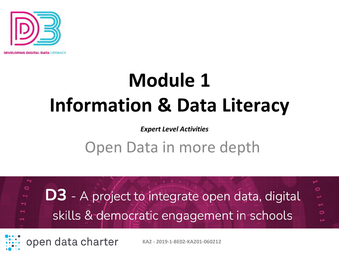

## **Module 1 Information & Data Literacy**

#### *Expert Level Activities*

#### Open Data in more depth

 $\circ$ **D3** - A project to integrate open data, digital skills & democratic engagement in schools

open data charter

**KA2 - 2019-1-BE02-KA201-060212**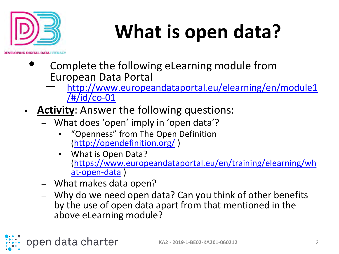

# **What is open data?**

- Complete the following eLearning module from European Data Portal
	- [http://www.europeandataportal.eu/elearning/en/module1](http://www.europeandataportal.eu/elearning/en/module1/#/id/co-01) /#/id/co-01
- **Activity**: Answer the following questions:
	- What does 'open' imply in 'open data'?
		- "Openness" from The Open Definition [\(http://opendefinition.org/](http://opendefinition.org/) )
		- What is Open Data? [\(https://www.europeandataportal.eu/en/training/elearning/wh](https://www.europeandataportal.eu/en/training/elearning/what-open-data) at-open-data )
	- What makes data open?

open data charter

– Why do we need open data? Can you think of other benefits by the use of open data apart from that mentioned in the above eLearning module?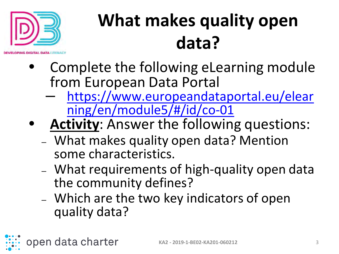

open data charter

#### **What makes quality open data?**

- Complete the following eLearning module from European Data Portal
	- [https://www.europeandataportal.eu/elear](https://www.europeandataportal.eu/elearning/en/module5/#/id/co-01) ning/en/module5/#/id/co-01
- **Activity**: Answer the following questions:
	- What makes quality open data? Mention some characteristics.
	- What requirements of high-quality open data the community defines?
	- Which are the two key indicators of open quality data?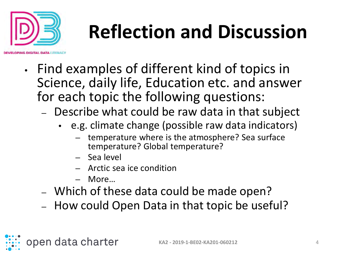

# **Reflection and Discussion**

- Find examples of different kind of topics in Science, daily life, Education etc. and answer for each topic the following questions:
	- Describe what could be raw data in that subject
		- e.g. climate change (possible raw data indicators)
			- temperature where is the atmosphere? Sea surface temperature? Global temperature?
			- Sea level
			- Arctic sea ice condition
			- More…

open data charter

- Which of these data could be made open?
- How could Open Data in that topic be useful?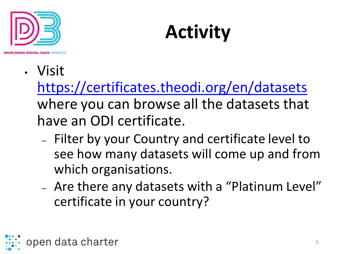

## **Activity**

• Visit

<https://certificates.theodi.org/en/datasets> where you can browse all the datasets that have an ODI certificate.

- Filter by your Country and certificate level to see how many datasets will come up and from which organisations.
- Are there any datasets with a "Platinum Level" certificate in your country?